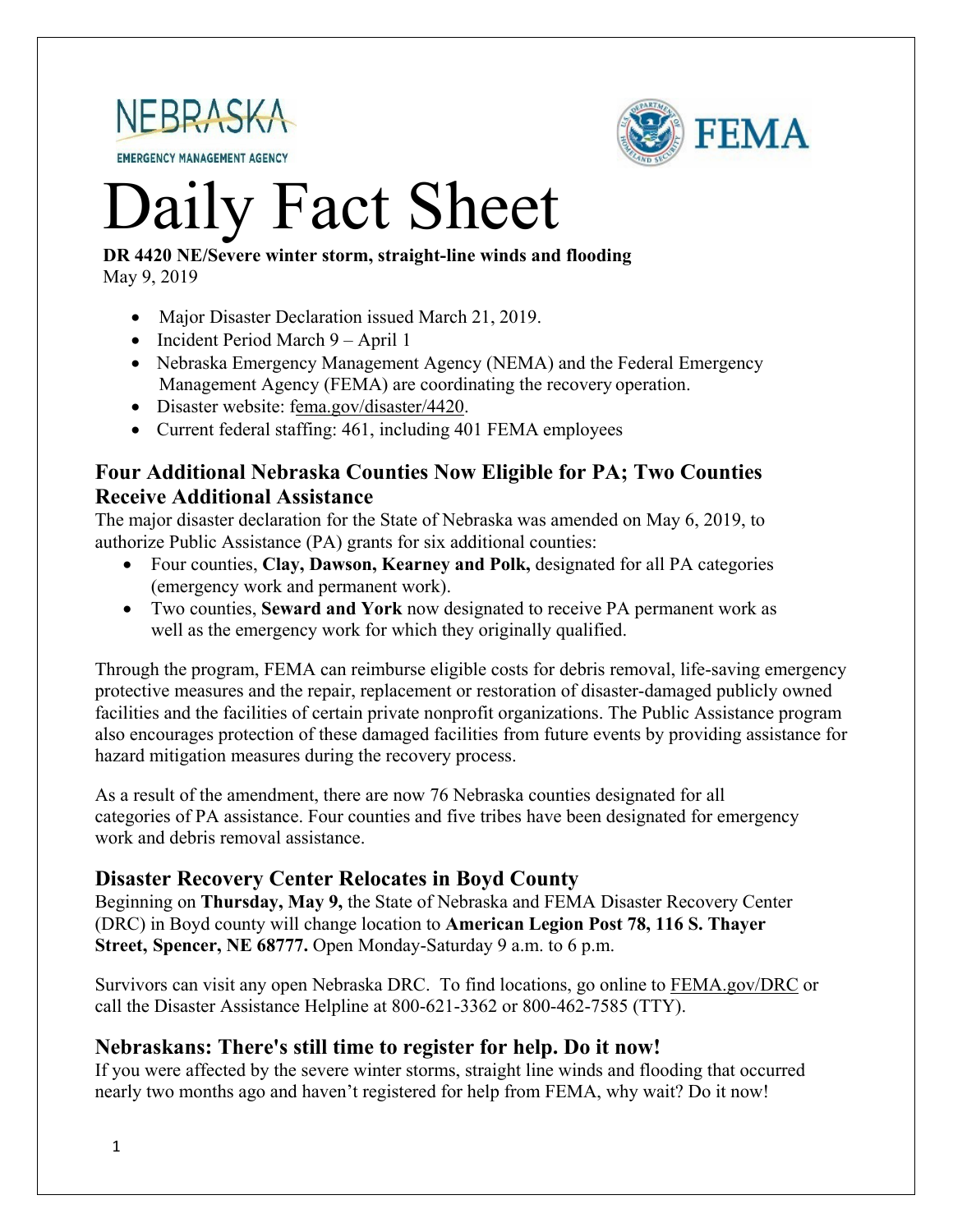

**EMERGENCY MANAGEMENT AGENCY** 



# Daily Fact Sheet

#### **DR 4420 NE/Severe winter storm, straight-line winds and flooding** May 9, 2019

- Major Disaster Declaration issued March 21, 2019.
- Incident Period March 9 April 1
- Nebraska Emergency Management Agency (NEMA) and the Federal Emergency Management Agency (FEMA) are coordinating the recovery operation.
- Disaster website: [fema.gov/disaster/4420.](https://www.fema.gov/disaster/4420)
- Current federal staffing: 461, including 401 FEMA employees

#### **Four Additional Nebraska Counties Now Eligible for PA; Two Counties Receive Additional Assistance**

The major disaster declaration for the State of Nebraska was amended on May 6, 2019, to authorize Public Assistance (PA) grants for six additional counties:

- Four counties, **Clay, Dawson, Kearney and Polk,** designated for all PA categories (emergency work and permanent work).
- Two counties, **Seward and York** now designated to receive PA permanent work as well as the emergency work for which they originally qualified.

Through the program, FEMA can reimburse eligible costs for debris removal, life-saving emergency protective measures and the repair, replacement or restoration of disaster-damaged publicly owned facilities and the facilities of certain private nonprofit organizations. The Public Assistance program also encourages protection of these damaged facilities from future events by providing assistance for hazard mitigation measures during the recovery process.

As a result of the amendment, there are now 76 Nebraska counties designated for all categories of PA assistance. Four counties and five tribes have been designated for emergency work and debris removal assistance.

## **Disaster Recovery Center Relocates in Boyd County**

Beginning on **Thursday, May 9,** the State of Nebraska and FEMA Disaster Recovery Center (DRC) in Boyd county will change location to **American Legion Post 78, 116 S. Thayer Street, Spencer, NE 68777.** Open Monday-Saturday 9 a.m. to 6 p.m.

Survivors can visit any open Nebraska DRC. To find locations, go online to FEMA.gov/DRC or call the Disaster Assistance Helpline at 800-621-3362 or 800-462-7585 (TTY).

#### **Nebraskans: There's still time to register for help. Do it now!**

If you were affected by the severe winter storms, straight line winds and flooding that occurred nearly two months ago and haven't registered for help from FEMA, why wait? Do it now!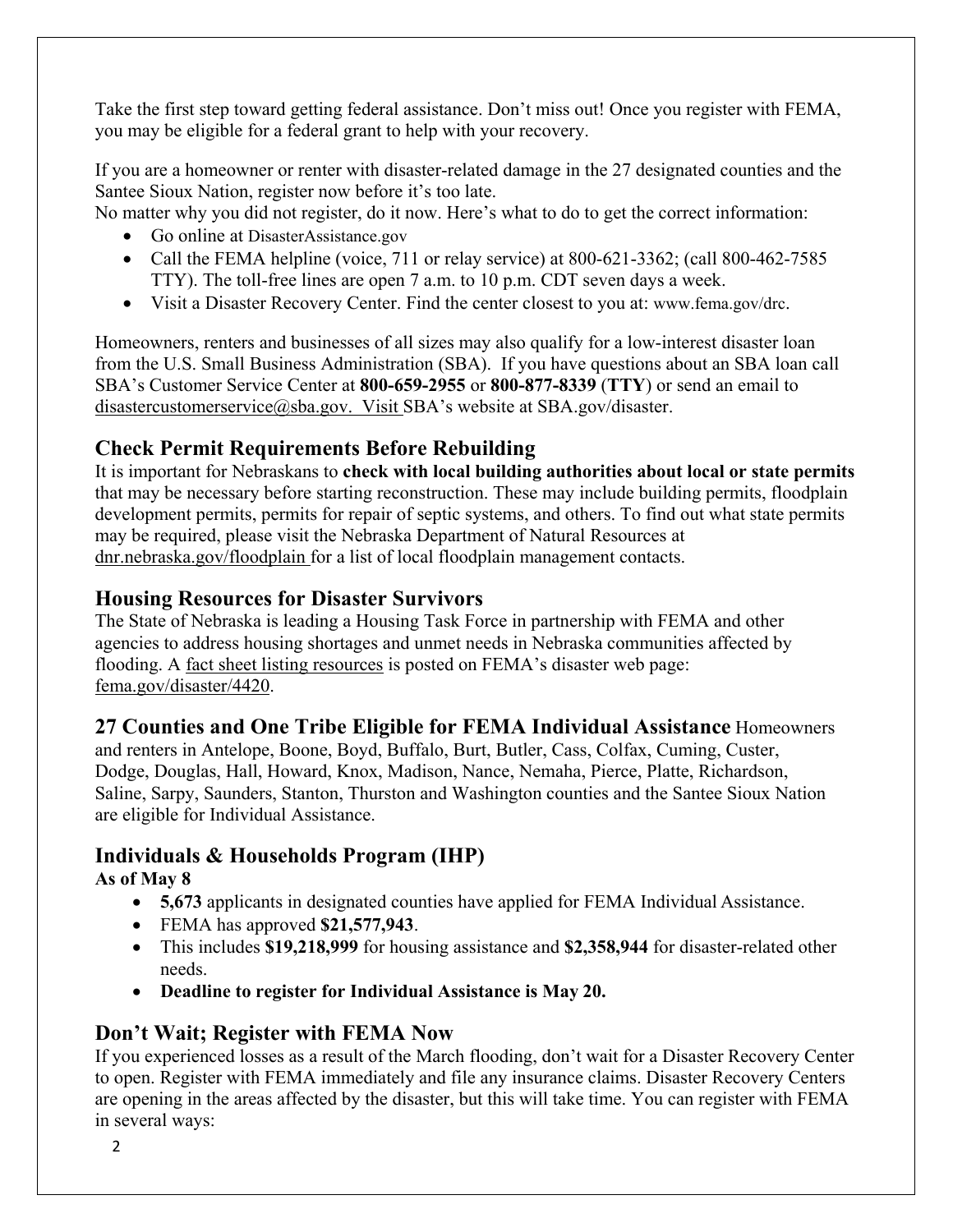Take the first step toward getting federal assistance. Don't miss out! Once you register with FEMA, you may be eligible for a federal grant to help with your recovery.

If you are a homeowner or renter with disaster-related damage in the 27 designated counties and the Santee Sioux Nation, register now before it's too late.

No matter why you did not register, do it now. Here's what to do to get the correct information:

- Go online at DisasterAssistance.gov
- Call the FEMA helpline (voice, 711 or relay service) at  $800-621-3362$ ; (call  $800-462-7585$ TTY). The toll-free lines are open 7 a.m. to 10 p.m. CDT seven days a week.
- Visit a Disaster Recovery Center. Find the center closest to you at: [www.fema.gov/drc.](http://www.fema.gov/drc)

Homeowners, renters and businesses of all sizes may also qualify for a low-interest disaster loan from the U.S. Small Business Administration (SBA). If you have questions about an SBA loan call SBA's Customer Service Center at **800-659-2955** or **800-877-8339** (**TTY**) or send an email to [disastercustomerservice@sba.gov.](mailto:disastercustomerservice@sba.gov.) Visit SBA's website at SBA.gov/disaster.

## **Check Permit Requirements Before Rebuilding**

It is important for Nebraskans to **check with local building authorities about local or state permits** that may be necessary before starting reconstruction. These may include building permits, floodplain development permits, permits for repair of septic systems, and others. To find out what state permits may be required, please visit the Nebraska Department of Natural Resources at [dnr.nebraska.gov/floodplain](https://dnr.nebraska.gov/floodplain) for a list of local floodplain management contacts.

## **Housing Resources for Disaster Survivors**

The State of Nebraska is leading a Housing Task Force in partnership with FEMA and other agencies to address housing shortages and unmet needs in Nebraska communities affected by flooding. A [fact sheet listing resources](https://edit.fema.gov/news-release/2019/04/19/fact-sheet-housing-resources-residents-nebraska-affected-march-storms-0) is posted on FEMA's disaster web page: [fema.gov/disaster/4420.](http://www.fema.gov/disaster/4420)

## **27 Counties and One Tribe Eligible for FEMA Individual Assistance** Homeowners

and renters in Antelope, Boone, Boyd, Buffalo, Burt, Butler, Cass, Colfax, Cuming, Custer, Dodge, Douglas, Hall, Howard, Knox, Madison, Nance, Nemaha, Pierce, Platte, Richardson, Saline, Sarpy, Saunders, Stanton, Thurston and Washington counties and the Santee Sioux Nation are eligible for Individual Assistance.

## **Individuals & Households Program (IHP)**

### **As of May 8**

- **5,673** applicants in designated counties have applied for FEMA Individual Assistance.
- FEMA has approved **\$21,577,943**.
- This includes **\$19,218,999** for housing assistance and **\$2,358,944** for disaster-related other needs.
- **Deadline to register for Individual Assistance is May 20.**

## **Don't Wait; Register with FEMA Now**

If you experienced losses as a result of the March flooding, don't wait for a Disaster Recovery Center to open. Register with FEMA immediately and file any insurance claims. Disaster Recovery Centers are opening in the areas affected by the disaster, but this will take time. You can register with FEMA in several ways: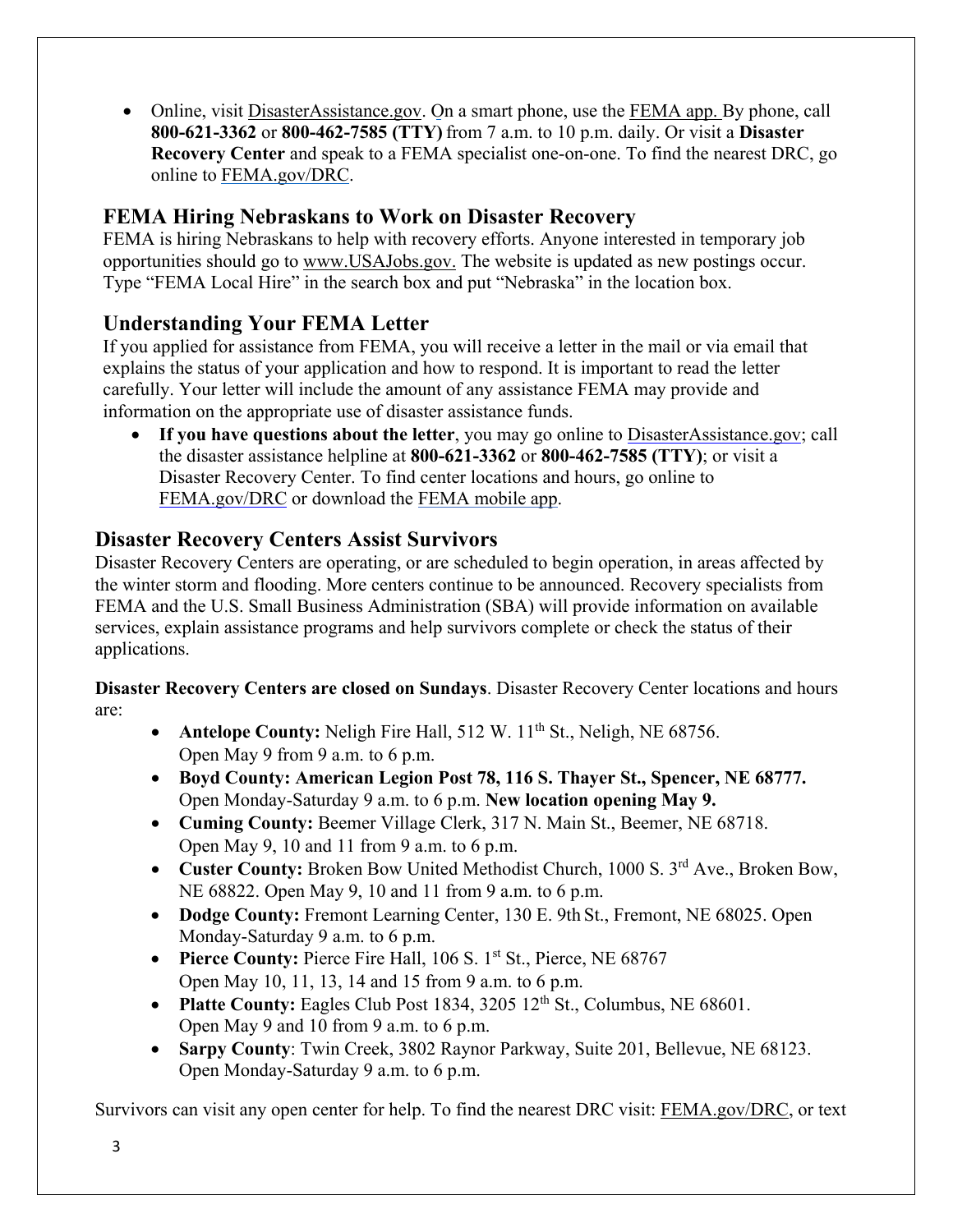• Online, visit [DisasterAssistance.gov.](https://disasterassistance.gov/) On a smart phone, use the [FEMA app.](https://www.fema.gov/mobile-app) By phone, call **800-621-3362** or **800-462-7585 (TTY)** from 7 a.m. to 10 p.m. daily. Or visit a **Disaster Recovery Center** and speak to a FEMA specialist one-on-one. To find the nearest DRC, go online to [FEMA.gov/DRC.](http://www.fema.gov/DRC)

## **FEMA Hiring Nebraskans to Work on Disaster Recovery**

FEMA is hiring Nebraskans to help with recovery efforts. Anyone interested in temporary job opportunities should go to [www.USAJobs.gov.](http://www.usajobs.gov/) The website is updated as new postings occur. Type "FEMA Local Hire" in the search box and put "Nebraska" in the location box.

## **Understanding Your FEMA Letter**

If you applied for assistance from FEMA, you will receive a letter in the mail or via email that explains the status of your application and how to respond. It is important to read the letter carefully. Your letter will include the amount of any assistance FEMA may provide and information on the appropriate use of disaster assistance funds.

• **If you have questions about the letter**, you may go online to [DisasterAssistance.gov;](http://www.disasterassistance.gov/) call the disaster assistance helpline at **800-621-3362** or **800-462-7585 (TTY)**; [or visit a](https://www.fema.gov/disaster-recovery-centers)  Disaster Recovery Center. To find center locations and hours, go online to [FEMA.gov/DRC](https://www.fema.gov/disaster-recovery-centers) or download the [FEMA mobile](https://www.fema.gov/mobile-app) app.

## **Disaster Recovery Centers Assist Survivors**

Disaster Recovery Centers are operating, or are scheduled to begin operation, in areas affected by the winter storm and flooding. More centers continue to be announced. Recovery specialists from FEMA and the U.S. Small Business Administration (SBA) will provide information on available services, explain assistance programs and help survivors complete or check the status of their applications.

**Disaster Recovery Centers are closed on Sundays**. Disaster Recovery Center locations and hours are:

- **Antelope County:** Neligh Fire Hall, 512 W. 11<sup>th</sup> St., Neligh, NE 68756. Open May 9 from 9 a.m. to 6 p.m.
- **Boyd County: American Legion Post 78, 116 S. Thayer St., Spencer, NE 68777.** Open Monday-Saturday 9 a.m. to 6 p.m. **New location opening May 9.**
- **Cuming County:** Beemer Village Clerk, 317 N. Main St., Beemer, NE 68718. Open May 9, 10 and 11 from 9 a.m. to 6 p.m.
- **Custer County:** Broken Bow United Methodist Church, 1000 S. 3<sup>rd</sup> Ave., Broken Bow, NE 68822. Open May 9, 10 and 11 from 9 a.m. to 6 p.m.
- **Dodge County:** Fremont Learning Center, 130 E. 9th St., Fremont, NE 68025. Open Monday-Saturday 9 a.m. to 6 p.m.
- **Pierce County: Pierce Fire Hall, 106 S. 1st St., Pierce, NE 68767** Open May 10, 11, 13, 14 and 15 from 9 a.m. to 6 p.m.
- **Platte County:** Eagles Club Post 1834, 3205 12<sup>th</sup> St., Columbus, NE 68601. Open May 9 and 10 from 9 a.m. to 6 p.m.
- **Sarpy County**: Twin Creek, 3802 Raynor Parkway, Suite 201, Bellevue, NE 68123. Open Monday-Saturday 9 a.m. to 6 p.m.

Survivors can visit any open center for help. To find the nearest DRC visit: [FEMA.gov/DRC,](http://www.fema.gov/DRC) or text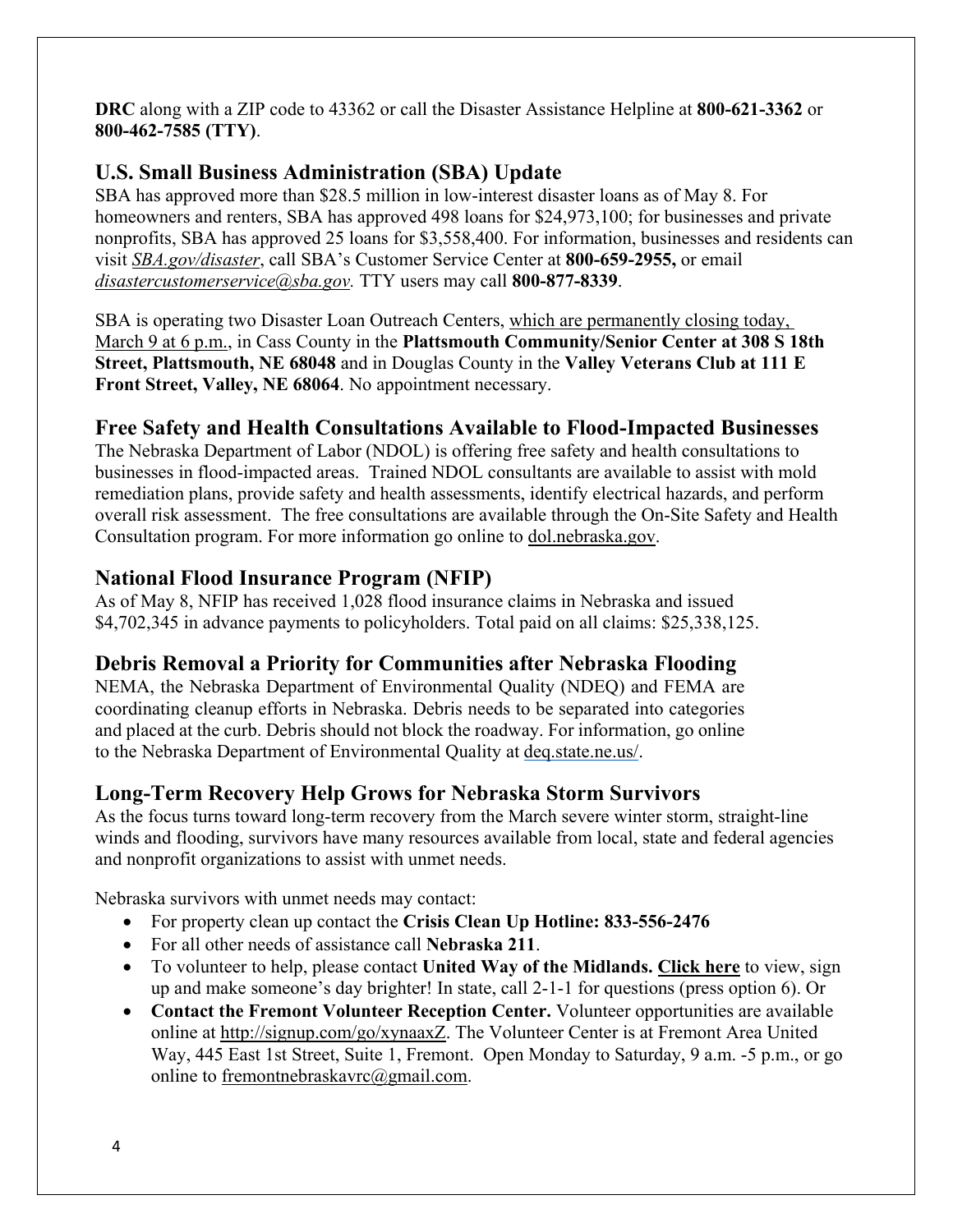**DRC** along with a ZIP code to 43362 or call the Disaster Assistance Helpline at **800-621-3362** or **800-462-7585 (TTY)**.

### **U.S. Small Business Administration (SBA) Update**

SBA has approved more than \$28.5 million in low-interest disaster loans as of May 8. For homeowners and renters, SBA has approved 498 loans for \$24,973,100; for businesses and private nonprofits, SBA has approved 25 loans for \$3,558,400. For information, businesses and residents can visit *[SBA.gov/disaster](http://www.sba.gov/disaster)*, call SBA's Customer Service Center at **800-659-2955,** or email *[disastercustomerservice@sba.gov.](mailto:disastercustomerservice@sba.gov)* TTY users may call **800-877-8339**.

SBA is operating two Disaster Loan Outreach Centers, which are permanently closing today, March 9 at 6 p.m., in Cass County in the **Plattsmouth Community/Senior Center at 308 S 18th Street, Plattsmouth, NE 68048** and in Douglas County in the **Valley Veterans Club at 111 E Front Street, Valley, NE 68064**. No appointment necessary.

### **Free Safety and Health Consultations Available to Flood-Impacted Businesses**

The Nebraska Department of Labor (NDOL) is offering free safety and health consultations to businesses in flood-impacted areas. Trained NDOL consultants are available to assist with mold remediation plans, provide safety and health assessments, identify electrical hazards, and perform overall risk assessment. The free consultations are available through the On-Site Safety and Health Consultation program. For more information go online to [dol.nebraska.gov.](https://dol.nebraska.gov/PressRelease/Details/117)

### **National Flood Insurance Program (NFIP)**

As of May 8, NFIP has received 1,028 flood insurance claims in Nebraska and issued \$4,702,345 in advance payments to policyholders. Total paid on all claims: \$25,338,125.

### **Debris Removal a Priority for Communities after Nebraska Flooding**

NEMA, the Nebraska Department of Environmental Quality (NDEQ) and FEMA are coordinating cleanup efforts in Nebraska. Debris needs to be separated into categories and placed at the curb. Debris should not block the roadway. For information, go online to the Nebraska Department of Environmental Quality at [deq.state.ne.us/.](http://www.deq.state.ne.us/)

## **Long-Term Recovery Help Grows for Nebraska Storm Survivors**

As the focus turns toward long-term recovery from the March severe winter storm, straight-line winds and flooding, survivors have many resources available from local, state and federal agencies and nonprofit organizations to assist with unmet needs.

Nebraska survivors with unmet needs may contact:

- For property clean up contact the **Crisis Clean Up Hotline: 833-556-2476**
- For all other needs of assistance call **Nebraska 211**.
- To volunteer to help, please contact **United Way of the Midlands. [Click](https://uwmidlands.galaxydigital.com/need/?s=1&need_init_id=1660) here** to view, sign up and make someone's day brighter! In state, call 2-1-1 for questions (press option 6). Or
- **Contact the Fremont Volunteer Reception Center.** Volunteer opportunities are available online at [http://signup.com/go/xynaaxZ.](http://signup.com/go/xynaaxZ?fbclid=IwAR1m90U2vgYS7ECdb6AHljMooZNkdAfb6i-7s_1hgOCf11d0oi-VMnJcMYY) The Volunteer Center is at Fremont Area United Way, 445 East 1st Street, Suite 1, Fremont. Open Monday to Saturday, 9 a.m. -5 p.m., or go online to [fremontnebraskavrc@gmail.com.](mailto:fremontnebraskavrc@gmail.com)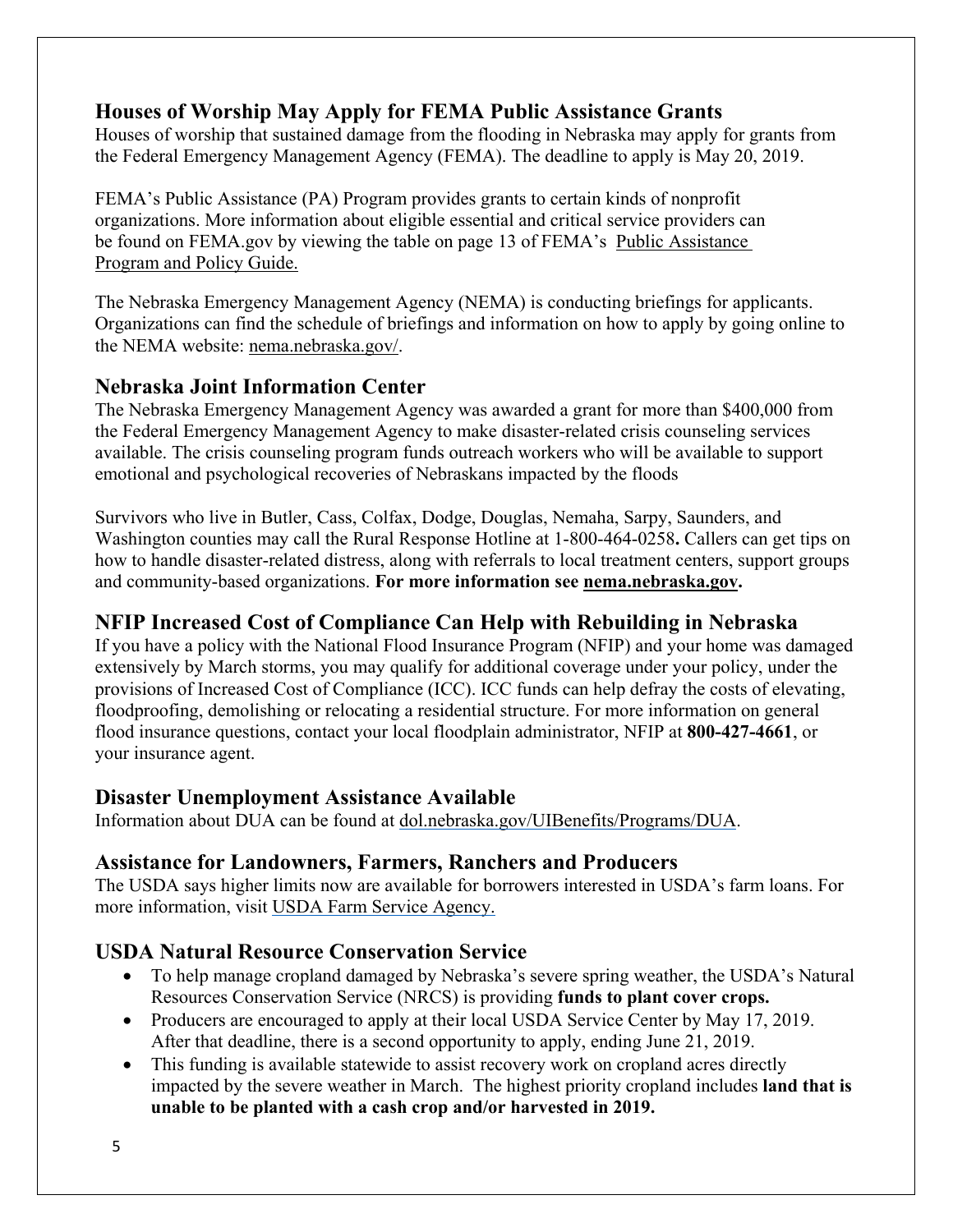## **Houses of Worship May Apply for FEMA Public Assistance Grants**

Houses of worship that sustained damage from the flooding in Nebraska may apply for grants from the Federal Emergency Management Agency (FEMA). The deadline to apply is May 20, 2019.

FEMA's Public Assistance (PA) Program provides grants to certain kinds of nonprofit organizations. More information about eligible essential and critical service providers can be found on FEMA.gov by viewing the table on page 13 of FEMA's [Public Assistance](https://www.fema.gov/media-library-data/1525468328389-4a038bbef9081cd7dfe7538e7751aa9c/PAPPG_3.1_508_FINAL_5-4-2018.pdf)  [Program and Policy Guide.](https://www.fema.gov/media-library-data/1525468328389-4a038bbef9081cd7dfe7538e7751aa9c/PAPPG_3.1_508_FINAL_5-4-2018.pdf)

The Nebraska Emergency Management Agency (NEMA) is conducting briefings for applicants. Organizations can find the schedule of briefings and information on how to apply by going online to the NEMA website: [nema.nebraska.gov/.](https://nema.nebraska.gov/)

### **Nebraska Joint Information Center**

The Nebraska Emergency Management Agency was awarded a grant for more than \$400,000 from the Federal Emergency Management Agency to make disaster-related crisis counseling services available. The crisis counseling program funds outreach workers who will be available to support emotional and psychological recoveries of Nebraskans impacted by the floods

Survivors who live in Butler, Cass, Colfax, Dodge, Douglas, Nemaha, Sarpy, Saunders, and Washington counties may call the Rural Response Hotline at 1-800-464-0258**.** Callers can get tips on how to handle disaster-related distress, along with referrals to local treatment centers, support groups and community-based organizations. **For more information see [nema.nebraska.gov.](file://fema.net/R7/DR/DR-4420-NE/EA/Planning%20and%20Products/Writers/Dale%20Bonza/DFS/nema.nebraska.gov)**

## **NFIP Increased Cost of Compliance Can Help with Rebuilding in Nebraska**

If you have a policy with the National Flood Insurance Program (NFIP) and your home was damaged extensively by March storms, you may qualify for additional coverage under your policy, under the provisions of Increased Cost of Compliance (ICC). ICC funds can help defray the costs of elevating, floodproofing, demolishing or relocating a residential structure. For more information on general flood insurance questions, contact your local floodplain administrator, NFIP at **800-427-4661**, or your insurance agent.

### **Disaster Unemployment Assistance Available**

Information about DUA can be found at [dol.nebraska.gov/UIBenefits/Programs/DUA.](https://dol.nebraska.gov/UIBenefits/Programs/DUA)

### **Assistance for Landowners, Farmers, Ranchers and Producers**

The USDA says higher limits now are available for borrowers interested in USDA's farm loans. For more information, visit [USDA Farm Service Agency.](https://www.fsa.usda.gov/)

## **USDA Natural Resource Conservation Service**

- To help manage cropland damaged by Nebraska's severe spring weather, the USDA's Natural Resources Conservation Service (NRCS) is providing **funds to plant cover crops.**
- Producers are encouraged to apply at their local USDA Service Center by May 17, 2019. After that deadline, there is a second opportunity to apply, ending June 21, 2019.
- This funding is available statewide to assist recovery work on cropland acres directly impacted by the severe weather in March. The highest priority cropland includes **land that is unable to be planted with a cash crop and/or harvested in 2019.**